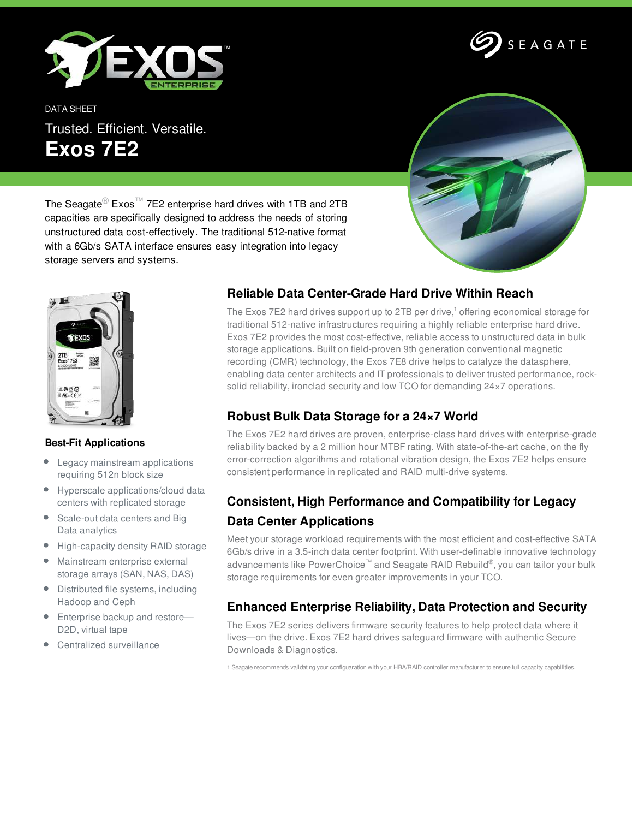

DATA SHEET Trusted. Efficient. Versatile. **Exos 7E2**



SEAGATE

The Seagate<sup>®</sup> Exos<sup>™</sup> 7E2 enterprise hard drives with 1TB and 2TB capacities are specifically designed to address the needs of storing unstructured data cost-effectively. The traditional 512-native format with a 6Gb/s SATA interface ensures easy integration into legacy storage servers and systems.



#### **Best-Fit Applications**

- $\bullet$ Legacy mainstream applications requiring 512n block size
- ۰ Hyperscale applications/cloud data centers with replicated storage
- Scale-out data centers and Big Data analytics
- High-capacity density RAID storage
- Mainstream enterprise external storage arrays (SAN, NAS, DAS)
- Distributed file systems, including Hadoop and Ceph
- Enterprise backup and restore-D2D, virtual tape
- Centralized surveillance

## **Reliable Data Center-Grade Hard Drive Within Reach**

The Exos 7E2 hard drives support up to 2TB per drive, $^1$  offering economical storage for traditional 512-native infrastructures requiring a highly reliable enterprise hard drive. Exos 7E2 provides the most cost-effective, reliable access to unstructured data in bulk storage applications. Built on field-proven 9th generation conventional magnetic recording (CMR) technology, the Exos 7E8 drive helps to catalyze the datasphere, enabling data center architects and IT professionals to deliver trusted performance, rocksolid reliability, ironclad security and low TCO for demanding 24×7 operations.

### **Robust Bulk Data Storage for a 24×7 World**

The Exos 7E2 hard drives are proven, enterprise-class hard drives with enterprise-grade reliability backed by a 2 million hour MTBF rating. With state-of-the-art cache, on the fly error-correction algorithms and rotational vibration design, the Exos 7E2 helps ensure consistent performance in replicated and RAID multi-drive systems.

# **Consistent, High Performance and Compatibility for Legacy Data Center Applications**

Meet your storage workload requirements with the most efficient and cost-effective SATA 6Gb/s drive in a 3.5-inch data center footprint. With user-definable innovative technology advancements like PowerChoice™ and Seagate RAID Rebuild®, you can tailor your bulk storage requirements for even greater improvements in your TCO.

#### **Enhanced Enterprise Reliability, Data Protection and Security**

The Exos 7E2 series delivers firmware security features to help protect data where it lives—on the drive. Exos 7E2 hard drives safeguard firmware with authentic Secure Downloads & Diagnostics.

1 Seagate recommends validating your configuaration with your HBA/RAID controller manufacturer to ensure full capacity capabilities.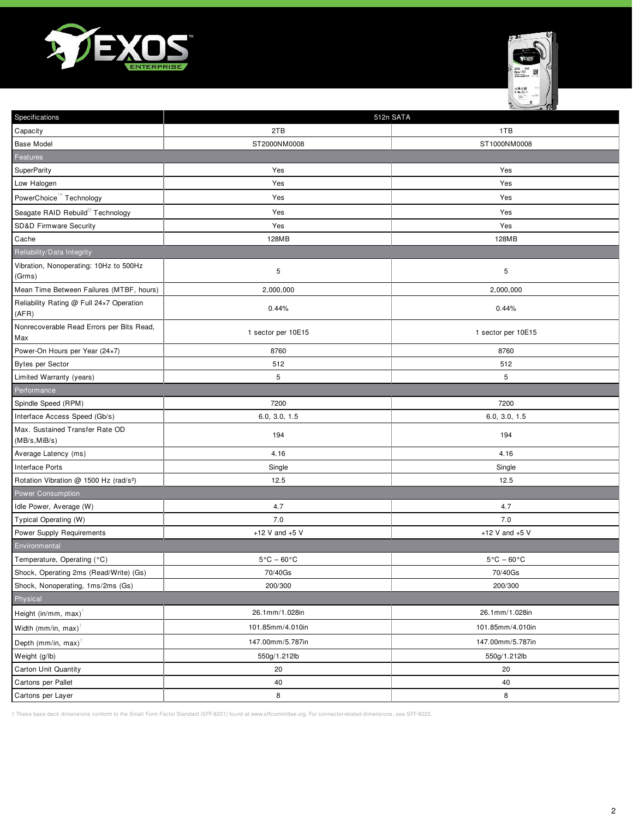



| Specifications                                     | 512n SATA                       |                                 |
|----------------------------------------------------|---------------------------------|---------------------------------|
| Capacity                                           | 2TB                             | 1TB                             |
| <b>Base Model</b>                                  | ST2000NM0008                    | ST1000NM0008                    |
| Features                                           |                                 |                                 |
| SuperParity                                        | Yes                             | Yes                             |
| Low Halogen                                        | Yes                             | Yes                             |
| PowerChoice™ Technology                            | Yes                             | Yes                             |
| Seagate RAID Rebuild <sup>®</sup> Technology       | Yes                             | Yes                             |
| SD&D Firmware Security                             | Yes                             | Yes                             |
| Cache                                              | 128MB                           | 128MB                           |
| Reliability/Data Integrity                         |                                 |                                 |
| Vibration, Nonoperating: 10Hz to 500Hz<br>(Grms)   | 5                               | 5                               |
| Mean Time Between Failures (MTBF, hours)           | 2,000,000                       | 2,000,000                       |
| Reliability Rating @ Full 24x7 Operation<br>(AFR)  | 0.44%                           | 0.44%                           |
| Nonrecoverable Read Errors per Bits Read,<br>Max   | 1 sector per 10E15              | 1 sector per 10E15              |
| Power-On Hours per Year (24×7)                     | 8760                            | 8760                            |
| <b>Bytes per Sector</b>                            | 512                             | 512                             |
| Limited Warranty (years)                           | $\sqrt{5}$                      | 5                               |
| Performance                                        |                                 |                                 |
| Spindle Speed (RPM)                                | 7200                            | 7200                            |
| Interface Access Speed (Gb/s)                      | 6.0, 3.0, 1.5                   | 6.0, 3.0, 1.5                   |
| Max. Sustained Transfer Rate OD<br>(MB/s, MiB/s)   | 194                             | 194                             |
| Average Latency (ms)                               | 4.16                            | 4.16                            |
| Interface Ports                                    | Single                          | Single                          |
| Rotation Vibration @ 1500 Hz (rad/s <sup>2</sup> ) | 12.5                            | 12.5                            |
| <b>Power Consumption</b>                           |                                 |                                 |
| Idle Power, Average (W)                            | 4.7                             | 4.7                             |
| Typical Operating (W)                              | 7.0                             | 7.0                             |
| Power Supply Requirements                          | +12 V and $+5$ V                | +12 V and $+5$ V                |
| Environmental                                      |                                 |                                 |
| Temperature, Operating (°C)                        | $5^{\circ}$ C - 60 $^{\circ}$ C | $5^{\circ}$ C - 60 $^{\circ}$ C |
| Shock, Operating 2ms (Read/Write) (Gs)             | 70/40Gs                         | 70/40Gs                         |
| Shock, Nonoperating, 1ms/2ms (Gs)                  | 200/300                         | 200/300                         |
| Physical                                           |                                 |                                 |
| Height (in/mm, max) <sup>1</sup>                   | 26.1mm/1.028in                  | 26.1mm/1.028in                  |
| Width (mm/in, max) <sup>1</sup>                    | 101.85mm/4.010in                | 101.85mm/4.010in                |
| Depth (mm/in, max) <sup>1</sup>                    | 147.00mm/5.787in                | 147.00mm/5.787in                |
| Weight (g/lb)                                      | 550g/1.212lb                    | 550g/1.212lb                    |
| Carton Unit Quantity                               | 20                              | 20                              |
| Cartons per Pallet                                 | 40                              | 40                              |
| Cartons per Layer                                  | 8                               | 8                               |

1 These base deck dimensions conform to the Small Form Factor Standard (SFF-8201) found at www.sffcommittee.org. For connector-related dimensions, see SFF-8223.